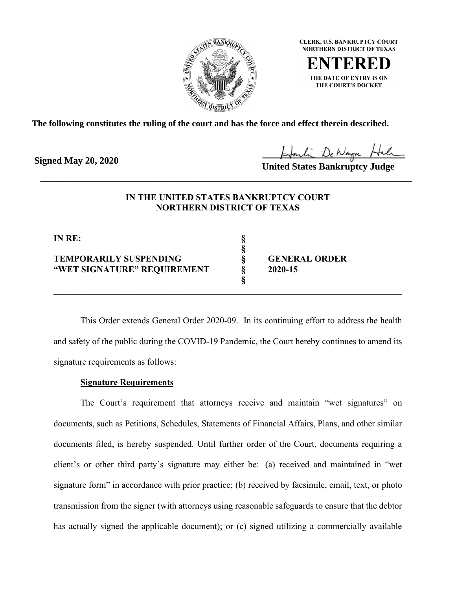

**CLERK, U.S. BANKRUPTCY COURT NORTHERN DISTRICT OF TEXAS** 

THE DATE OF ENTRY IS ON THE COURT'S DOCKET

**The following constitutes the ruling of the court and has the force and effect therein described.**

**Signed May 20, 2020**

United States Bankruptcy Judge

# **IN THE UNITED STATES BANKRUPTCY COURT NORTHERN DISTRICT OF TEXAS**

\_\_\_\_\_\_\_\_\_\_\_\_\_\_\_\_\_\_\_\_\_\_\_\_\_\_\_\_\_\_\_\_\_\_\_\_\_\_\_\_\_\_\_\_\_\_\_\_\_\_\_\_\_\_\_\_\_\_\_\_\_\_\_\_\_\_\_\_\_\_

**§**

**§** 

**IN RE: §**

## **TEMPORARILY SUSPENDING § GENERAL ORDER "WET SIGNATURE" REQUIREMENT § 2020-15**

This Order extends General Order 2020-09. In its continuing effort to address the health and safety of the public during the COVID-19 Pandemic, the Court hereby continues to amend its signature requirements as follows:

**\_\_\_\_\_\_\_\_\_\_\_\_\_\_\_\_\_\_\_\_\_\_\_\_\_\_\_\_\_\_\_\_\_\_\_\_\_\_\_\_\_\_\_\_\_\_\_\_\_\_\_\_\_\_\_\_\_\_\_\_\_\_\_\_\_\_\_\_\_\_\_\_\_\_\_\_\_\_**

# **Signature Requirements**

The Court's requirement that attorneys receive and maintain "wet signatures" on documents, such as Petitions, Schedules, Statements of Financial Affairs, Plans, and other similar documents filed, is hereby suspended. Until further order of the Court, documents requiring a client's or other third party's signature may either be: (a) received and maintained in "wet signature form" in accordance with prior practice; (b) received by facsimile, email, text, or photo transmission from the signer (with attorneys using reasonable safeguards to ensure that the debtor has actually signed the applicable document); or (c) signed utilizing a commercially available